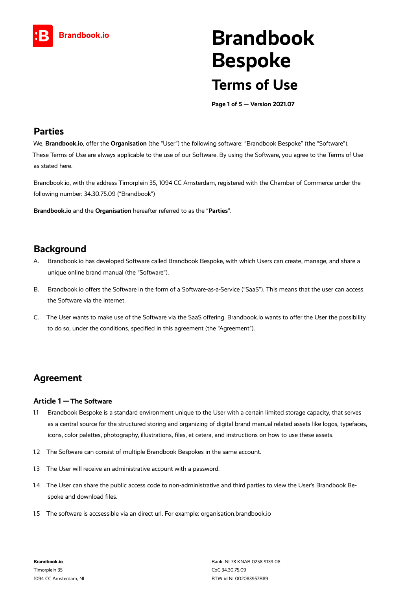

# **Brandbook Bespoke Terms of Use**

**Page 1 of 5 — Version 2021.07**

### **Parties**

We, **Brandbook.io**, offer the **Organisation** (the "User") the following software: "Brandbook Bespoke" (the "Software"). These Terms of Use are always applicable to the use of our Software. By using the Software, you agree to the Terms of Use as stated here.

Brandbook.io, with the address Timorplein 35, 1094 CC Amsterdam, registered with the Chamber of Commerce under the following number: 34.30.75.09 ("Brandbook")

**Brandbook.io** and the **Organisation** hereafter referred to as the "**Parties**".

## **Background**

- A. Brandbook.io has developed Software called Brandbook Bespoke, with which Users can create, manage, and share a unique online brand manual (the "Software").
- B. Brandbook.io offers the Software in the form of a Software-as-a-Service ("SaaS"). This means that the user can access the Software via the internet.
- C. The User wants to make use of the Software via the SaaS offering. Brandbook.io wants to offer the User the possibility to do so, under the conditions, specified in this agreement (the "Agreement").

## **Agreement**

#### **Article 1 — The Software**

- 1.1 Brandbook Bespoke is a standard environment unique to the User with a certain limited storage capacity, that serves as a central source for the structured storing and organizing of digital brand manual related assets like logos, typefaces, icons, color palettes, photography, illustrations, files, et cetera, and instructions on how to use these assets.
- 1.2 The Software can consist of multiple Brandbook Bespokes in the same account.
- 1.3 The User will receive an administrative account with a password.
- 1.4 The User can share the public access code to non-administrative and third parties to view the User's Brandbook Bespoke and download files.
- 1.5 The software is accsessible via an direct url. For example: organisation.brandbook.io

**Brandbook.io** Timorplein 35 1094 CC Amsterdam, NL Bank: NL78 KNAB 0258 9139 08 CoC 34.30.75.09 BTW id NL002083957B89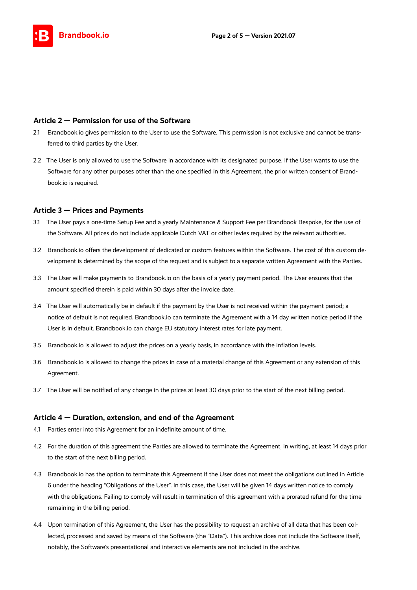

#### **Article 2 — Permission for use of the Software**

- 2.1 Brandbook.io gives permission to the User to use the Software. This permission is not exclusive and cannot be transferred to third parties by the User.
- 2.2 The User is only allowed to use the Software in accordance with its designated purpose. If the User wants to use the Software for any other purposes other than the one specified in this Agreement, the prior written consent of Brandbook.io is required.

#### **Article 3 — Prices and Payments**

- 3.1 The User pays a one-time Setup Fee and a yearly Maintenance & Support Fee per Brandbook Bespoke, for the use of the Software. All prices do not include applicable Dutch VAT or other levies required by the relevant authorities.
- 3.2 Brandbook.io offers the development of dedicated or custom features within the Software. The cost of this custom development is determined by the scope of the request and is subject to a separate written Agreement with the Parties.
- 3.3 The User will make payments to Brandbook.io on the basis of a yearly payment period. The User ensures that the amount specified therein is paid within 30 days after the invoice date.
- 3.4 The User will automatically be in default if the payment by the User is not received within the payment period; a notice of default is not required. Brandbook.io can terminate the Agreement with a 14 day written notice period if the User is in default. Brandbook.io can charge EU statutory interest rates for late payment.
- 3.5 Brandbook.io is allowed to adjust the prices on a yearly basis, in accordance with the inflation levels.
- 3.6 Brandbook.io is allowed to change the prices in case of a material change of this Agreement or any extension of this Agreement.
- 3.7 The User will be notified of any change in the prices at least 30 days prior to the start of the next billing period.

#### **Article 4 — Duration, extension, and end of the Agreement**

- 4.1 Parties enter into this Agreement for an indefinite amount of time.
- 4.2 For the duration of this agreement the Parties are allowed to terminate the Agreement, in writing, at least 14 days prior to the start of the next billing period.
- 4.3 Brandbook.io has the option to terminate this Agreement if the User does not meet the obligations outlined in Article 6 under the heading "Obligations of the User". In this case, the User will be given 14 days written notice to comply with the obligations. Failing to comply will result in termination of this agreement with a prorated refund for the time remaining in the billing period.
- 4.4 Upon termination of this Agreement, the User has the possibility to request an archive of all data that has been collected, processed and saved by means of the Software (the "Data"). This archive does not include the Software itself, notably, the Software's presentational and interactive elements are not included in the archive.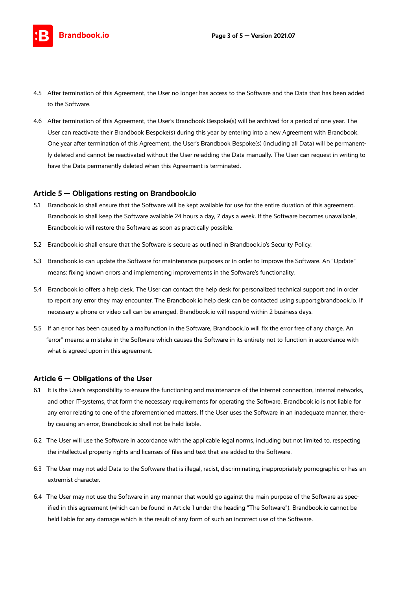

- 4.5 After termination of this Agreement, the User no longer has access to the Software and the Data that has been added to the Software.
- 4.6 After termination of this Agreement, the User's Brandbook Bespoke(s) will be archived for a period of one year. The User can reactivate their Brandbook Bespoke(s) during this year by entering into a new Agreement with Brandbook. One year after termination of this Agreement, the User's Brandbook Bespoke(s) (including all Data) will be permanently deleted and cannot be reactivated without the User re-adding the Data manually. The User can request in writing to have the Data permanently deleted when this Agreement is terminated.

#### **Article 5 — Obligations resting on Brandbook.io**

- 5.1 Brandbook.io shall ensure that the Software will be kept available for use for the entire duration of this agreement. Brandbook.io shall keep the Software available 24 hours a day, 7 days a week. If the Software becomes unavailable, Brandbook.io will restore the Software as soon as practically possible.
- 5.2 Brandbook.io shall ensure that the Software is secure as outlined in Brandbook.io's Security Policy.
- 5.3 Brandbook.io can update the Software for maintenance purposes or in order to improve the Software. An "Update" means: fixing known errors and implementing improvements in the Software's functionality.
- 5.4 Brandbook.io offers a help desk. The User can contact the help desk for personalized technical support and in order to report any error they may encounter. The Brandbook.io help desk can be contacted using support@brandbook.io. If necessary a phone or video call can be arranged. Brandbook.io will respond within 2 business days.
- 5.5 If an error has been caused by a malfunction in the Software, Brandbook.io will fix the error free of any charge. An "error" means: a mistake in the Software which causes the Software in its entirety not to function in accordance with what is agreed upon in this agreement.

#### **Article 6 — Obligations of the User**

- 6.1 It is the User's responsibility to ensure the functioning and maintenance of the internet connection, internal networks, and other IT-systems, that form the necessary requirements for operating the Software. Brandbook.io is not liable for any error relating to one of the aforementioned matters. If the User uses the Software in an inadequate manner, thereby causing an error, Brandbook.io shall not be held liable.
- 6.2 The User will use the Software in accordance with the applicable legal norms, including but not limited to, respecting the intellectual property rights and licenses of files and text that are added to the Software.
- 6.3 The User may not add Data to the Software that is illegal, racist, discriminating, inappropriately pornographic or has an extremist character.
- 6.4 The User may not use the Software in any manner that would go against the main purpose of the Software as specified in this agreement (which can be found in Article 1 under the heading "The Software"). Brandbook.io cannot be held liable for any damage which is the result of any form of such an incorrect use of the Software.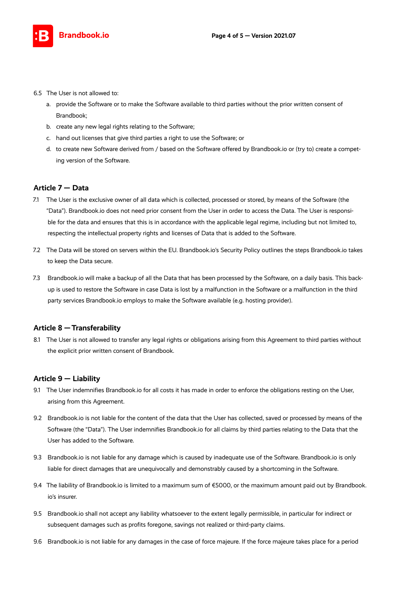

- 6.5 The User is not allowed to:
	- a. provide the Software or to make the Software available to third parties without the prior written consent of Brandbook;
	- b. create any new legal rights relating to the Software;
	- c. hand out licenses that give third parties a right to use the Software; or
	- d. to create new Software derived from / based on the Software offered by Brandbook.io or (try to) create a competing version of the Software.

#### **Article 7 — Data**

- 7.1 The User is the exclusive owner of all data which is collected, processed or stored, by means of the Software (the "Data"). Brandbook.io does not need prior consent from the User in order to access the Data. The User is responsible for the data and ensures that this is in accordance with the applicable legal regime, including but not limited to, respecting the intellectual property rights and licenses of Data that is added to the Software.
- 7.2 The Data will be stored on servers within the EU. Brandbook.io's Security Policy outlines the steps Brandbook.io takes to keep the Data secure.
- 7.3 Brandbook.io will make a backup of all the Data that has been processed by the Software, on a daily basis. This backup is used to restore the Software in case Data is lost by a malfunction in the Software or a malfunction in the third party services Brandbook.io employs to make the Software available (e.g. hosting provider).

#### **Article 8 — Transferability**

8.1 The User is not allowed to transfer any legal rights or obligations arising from this Agreement to third parties without the explicit prior written consent of Brandbook.

#### **Article 9 — Liability**

- 9.1 The User indemnifies Brandbook.io for all costs it has made in order to enforce the obligations resting on the User, arising from this Agreement.
- 9.2 Brandbook.io is not liable for the content of the data that the User has collected, saved or processed by means of the Software (the "Data"). The User indemnifies Brandbook.io for all claims by third parties relating to the Data that the User has added to the Software.
- 9.3 Brandbook.io is not liable for any damage which is caused by inadequate use of the Software. Brandbook.io is only liable for direct damages that are unequivocally and demonstrably caused by a shortcoming in the Software.
- 9.4 The liability of Brandbook.io is limited to a maximum sum of  $$5000$ , or the maximum amount paid out by Brandbook. io's insurer.
- 9.5 Brandbook.io shall not accept any liability whatsoever to the extent legally permissible, in particular for indirect or subsequent damages such as profits foregone, savings not realized or third-party claims.
- 9.6 Brandbook.io is not liable for any damages in the case of force majeure. If the force majeure takes place for a period